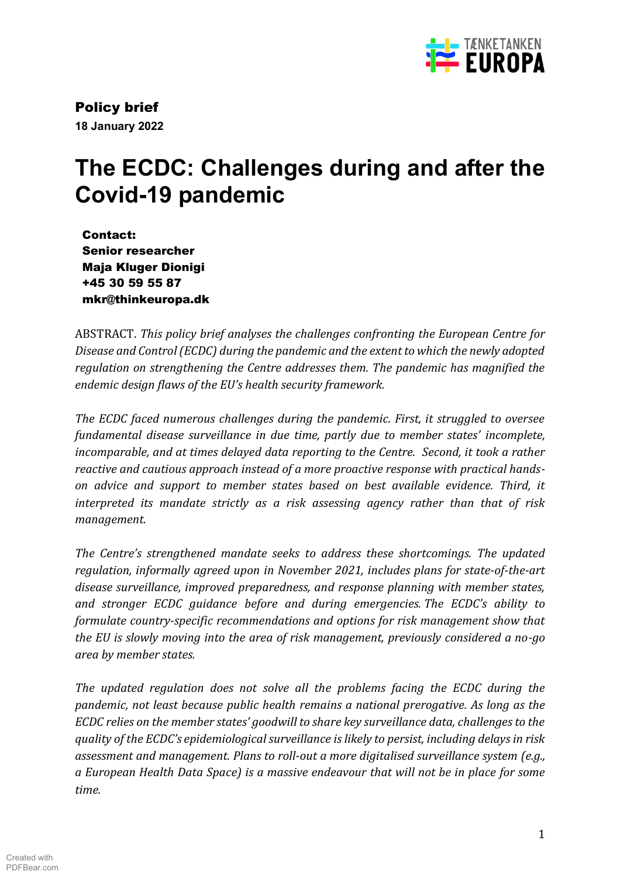

Policy brief **18 January 2022**

# **The ECDC: Challenges during and after the Covid-19 pandemic**

Contact: Senior researcher Maja Kluger Dionigi +45 30 59 55 87 mkr@thinkeuropa.dk

ABSTRACT. *This policy brief analyses the challenges confronting the European Centre for Disease and Control (ECDC) during the pandemic and the extent to which the newly adopted regulation on strengthening the Centre addresses them. The pandemic has magnified the endemic design flaws of the EU's health security framework.*

*The ECDC faced numerous challenges during the pandemic. First, it struggled to oversee fundamental disease surveillance in due time, partly due to member states' incomplete, incomparable, and at times delayed data reporting to the Centre. Second, it took a rather reactive and cautious approach instead of a more proactive response with practical handson advice and support to member states based on best available evidence. Third, it interpreted its mandate strictly as a risk assessing agency rather than that of risk management.*

*The Centre's strengthened mandate seeks to address these shortcomings. The updated regulation, informally agreed upon in November 2021, includes plans for state-of-the-art disease surveillance, improved preparedness, and response planning with member states, and stronger ECDC guidance before and during emergencies. The ECDC's ability to formulate country-specific recommendations and options for risk management show that the EU is slowly moving into the area of risk management, previously considered a no-go area by member states.* 

*The updated regulation does not solve all the problems facing the ECDC during the pandemic, not least because public health remains a national prerogative. As long as the ECDC relies on the member states' goodwill to share key surveillance data, challenges to the quality of the ECDC's epidemiological surveillance is likely to persist, including delays in risk assessment and management. Plans to roll-out a more digitalised surveillance system (e.g., a European Health Data Space) is a massive endeavour that will not be in place for some time.*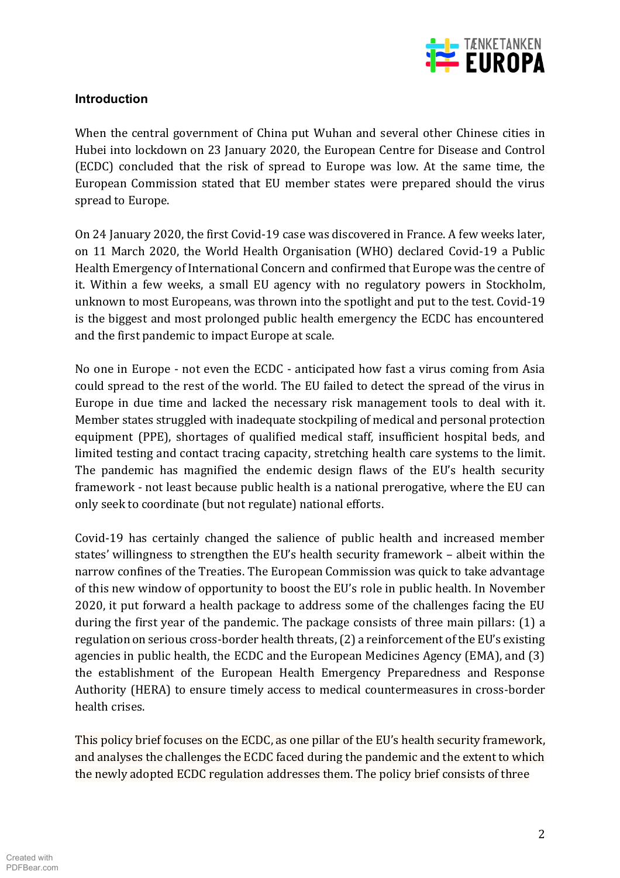

## **Introduction**

When the central government of China put Wuhan and several other Chinese cities in Hubei into lockdown on 23 January 2020, the European Centre for Disease and Control (ECDC) concluded that the risk of spread to Europe was low. At the same time, the European Commission stated that EU member states were prepared should the virus spread to Europe.

On 24 January 2020, the first Covid-19 case was discovered in France. A few weeks later, on 11 March 2020, the World Health Organisation (WHO) declared Covid-19 a Public Health Emergency of International Concern and confirmed that Europe was the centre of it. Within a few weeks, a small EU agency with no regulatory powers in Stockholm, unknown to most Europeans, was thrown into the spotlight and put to the test. Covid-19 is the biggest and most prolonged public health emergency the ECDC has encountered and the first pandemic to impact Europe at scale.

No one in Europe - not even the ECDC - anticipated how fast a virus coming from Asia could spread to the rest of the world. The EU failed to detect the spread of the virus in Europe in due time and lacked the necessary risk management tools to deal with it. Member states struggled with inadequate stockpiling of medical and personal protection equipment (PPE), shortages of qualified medical staff, insufficient hospital beds, and limited testing and contact tracing capacity, stretching health care systems to the limit. The pandemic has magnified the endemic design flaws of the EU's health security framework - not least because public health is a national prerogative, where the EU can only seek to coordinate (but not regulate) national efforts.

Covid-19 has certainly changed the salience of public health and increased member states' willingness to strengthen the EU's health security framework – albeit within the narrow confines of the Treaties. The European Commission was quick to take advantage of this new window of opportunity to boost the EUǯ role in public health. In November 2020, it put forward a health package to address some of the challenges facing the EU during the first year of the pandemic. The package consists of three main pillars: (1) a regulation on serious cross-border health threats, (2) a reinforcement of the EU's existing agencies in public health, the ECDC and the European Medicines Agency (EMA), and (3) the establishment of the European Health Emergency Preparedness and Response Authority (HERA) to ensure timely access to medical countermeasures in cross-border health crises.

This policy brief focuses on the ECDC, as one pillar of the EU's health security framework, and analyses the challenges the ECDC faced during the pandemic and the extent to which the newly adopted ECDC regulation addresses them. The policy brief consists of three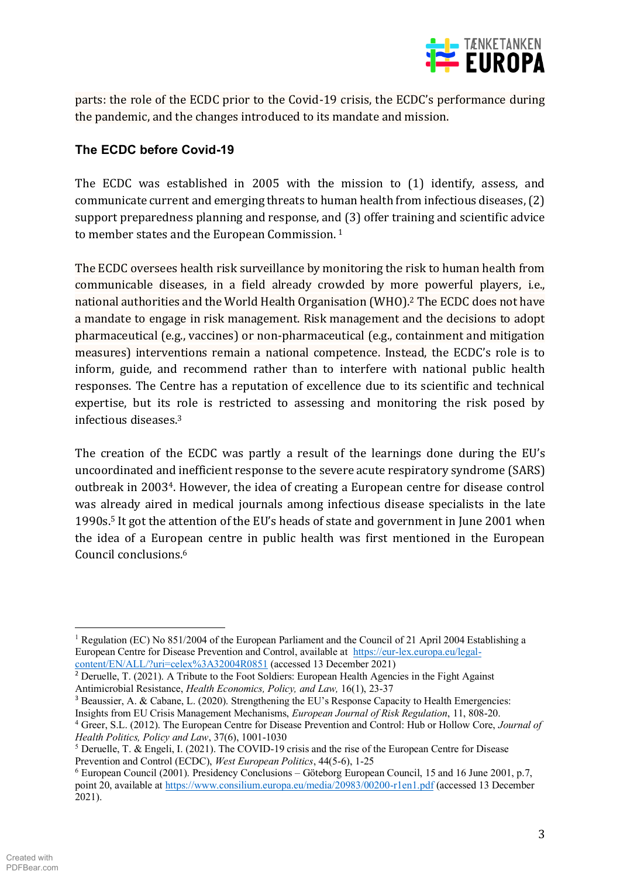

parts: the role of the ECDC prior to the Covid-19 crisis, the ECDC's performance during the pandemic, and the changes introduced to its mandate and mission.

# **The ECDC before Covid-19**

The ECDC was established in 2005 with the mission to (1) identify, assess, and communicate current and emerging threats to human health from infectious diseases, (2) support preparedness planning and response, and (3) offer training and scientific advice to member states and the European Commission.<sup>1</sup>

The ECDC oversees health risk surveillance by monitoring the risk to human health from communicable diseases, in a field already crowded by more powerful players, i.e., national authorities and the World Health Organisation (WHO).2 The ECDC does not have a mandate to engage in risk management. Risk management and the decisions to adopt pharmaceutical (e.g., vaccines) or non-pharmaceutical (e.g., containment and mitigation measures) interventions remain a national competence. Instead, the ECDC's role is to inform, guide, and recommend rather than to interfere with national public health responses. The Centre has a reputation of excellence due to its scientific and technical expertise, but its role is restricted to assessing and monitoring the risk posed by infectious diseases.3

The creation of the ECDC was partly a result of the learnings done during the EU's uncoordinated and inefficient response to the severe acute respiratory syndrome (SARS) outbreak in 20034. However, the idea of creating a European centre for disease control was already aired in medical journals among infectious disease specialists in the late 1990s.<sup>5</sup> It got the attention of the EU's heads of state and government in June 2001 when the idea of a European centre in public health was first mentioned in the European Council conclusions.6

<sup>3</sup> Beaussier, A. & Cabane, L. (2020). Strengthening the EU's Response Capacity to Health Emergencies: Insights from EU Crisis Management Mechanisms, *European Journal of Risk Regulation*, 11, 808-20.

<sup>&</sup>lt;sup>1</sup> Regulation (EC) No 851/2004 of the European Parliament and the Council of 21 April 2004 Establishing a European Centre for Disease Prevention and Control, available at https://eur-lex.europa.eu/legalcontent/EN/ALL/?uri=celex%3A32004R0851 (accessed 13 December 2021)

<sup>&</sup>lt;sup>2</sup> Deruelle, T. (2021). A Tribute to the Foot Soldiers: European Health Agencies in the Fight Against Antimicrobial Resistance, *Health Economics, Policy, and Law,* 16(1), 23-37

<sup>4</sup> Greer, S.L. (2012). The European Centre for Disease Prevention and Control: Hub or Hollow Core, *Journal of Health Politics, Policy and Law*, 37(6), 1001-1030

<sup>5</sup> Deruelle, T. & Engeli, I. (2021). The COVID-19 crisis and the rise of the European Centre for Disease Prevention and Control (ECDC), *West European Politics*, 44(5-6), 1-25

 $6$  European Council (2001). Presidency Conclusions  $-$  Göteborg European Council, 15 and 16 June 2001, p.7, point 20, available at https://www.consilium.europa.eu/media/20983/00200-r1en1.pdf (accessed 13 December  $2021$ ).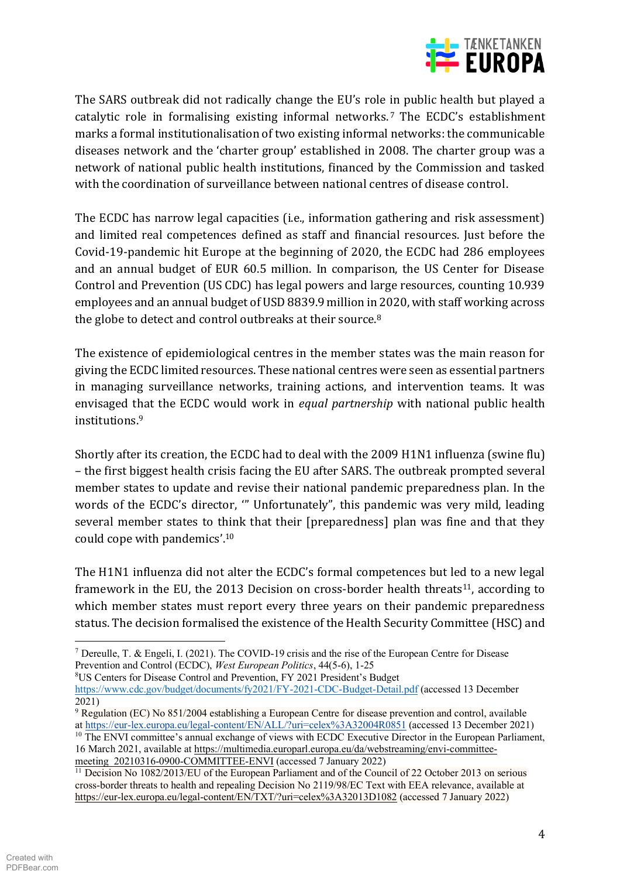

The SARS outbreak did not radically change the EU's role in public health but played a catalytic role in formalising existing informal networks.<sup>7</sup> The ECDC's establishment marks a formal institutionalisation of two existing informal networks: the communicable diseases network and the 'charter group' established in 2008. The charter group was a network of national public health institutions, financed by the Commission and tasked with the coordination of surveillance between national centres of disease control.

The ECDC has narrow legal capacities (i.e., information gathering and risk assessment) and limited real competences defined as staff and financial resources. Just before the Covid-19-pandemic hit Europe at the beginning of 2020, the ECDC had 286 employees and an annual budget of EUR 60.5 million. In comparison, the US Center for Disease Control and Prevention (US CDC) has legal powers and large resources, counting 10.939 employees and an annual budget of USD 8839.9 million in 2020, with staff working across the globe to detect and control outbreaks at their source.<sup>8</sup>

The existence of epidemiological centres in the member states was the main reason for giving the ECDC limited resources. These national centres were seen as essential partners in managing surveillance networks, training actions, and intervention teams. It was envisaged that the ECDC would work in *equal partnership* with national public health institutions.9

Shortly after its creation, the ECDC had to deal with the 2009 H1N1 influenza (swine flu) – the first biggest health crisis facing the EU after SARS. The outbreak prompted several member states to update and revise their national pandemic preparedness plan. In the words of the ECDC's director, "' Unfortunately", this pandemic was very mild, leading several member states to think that their [preparedness] plan was fine and that they could cope with pandemics'. $10$ 

The H1N1 influenza did not alter the ECDC's formal competences but led to a new legal framework in the EU, the 2013 Decision on cross-border health threats<sup>11</sup>, according to which member states must report every three years on their pandemic preparedness status. The decision formalised the existence of the Health Security Committee (HSC) and

<sup>8</sup>US Centers for Disease Control and Prevention, FY 2021 President's Budget

meeting\_20210316-0900-COMMITTEE-ENVI (accessed 7 January 2022)

<sup>7</sup> Dereulle, T. & Engeli, I. (2021). The COVID-19 crisis and the rise of the European Centre for Disease Prevention and Control (ECDC), *West European Politics*, 44(5-6), 1-25

https://www.cdc.gov/budget/documents/fy2021/FY-2021-CDC-Budget-Detail.pdf (accessed 13 December 2021)

<sup>9</sup> Regulation (EC) No 851/2004 establishing a European Centre for disease prevention and control, available at https://eur-lex.europa.eu/legal-content/EN/ALL/?uri=celex%3A32004R0851 (accessed 13 December 2021)  $10$  The ENVI committee's annual exchange of views with ECDC Executive Director in the European Parliament, 16 March 2021, available at https://multimedia.europarl.europa.eu/da/webstreaming/envi-committee-

<sup>11</sup> Decision No 1082/2013/EU of the European Parliament and of the Council of 22 October 2013 on serious cross-border threats to health and repealing Decision No 2119/98/EC Text with EEA relevance, available at https://eur-lex.europa.eu/legal-content/EN/TXT/?uri=celex%3A32013D1082 (accessed 7 January 2022)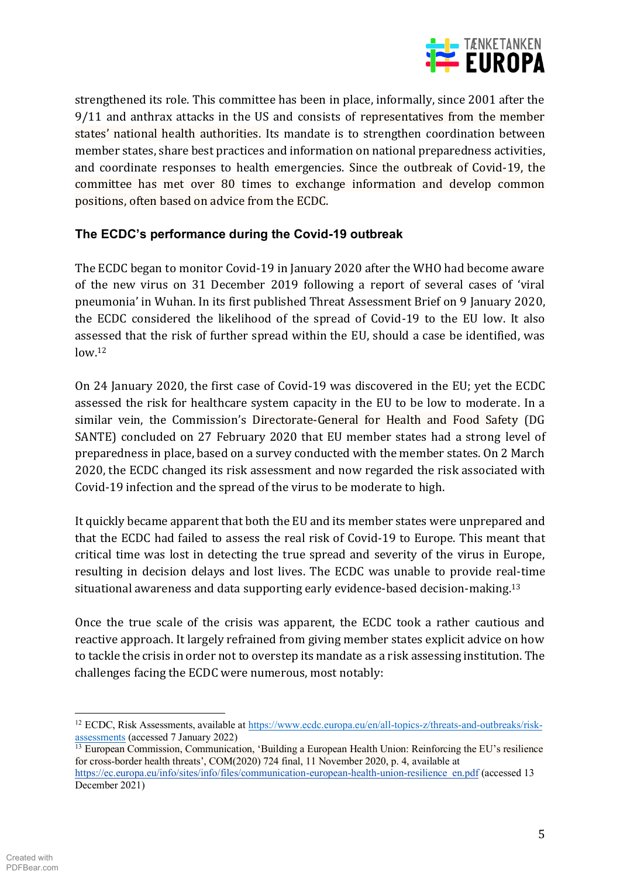

strengthened its role. This committee has been in place, informally, since 2001 after the 9/11 and anthrax attacks in the US and consists of representatives from the member states' national health authorities. Its mandate is to strengthen coordination between member states, share best practices and information on national preparedness activities, and coordinate responses to health emergencies. Since the outbreak of Covid-19, the committee has met over 80 times to exchange information and develop common positions, often based on advice from the ECDC.

## The ECDC's performance during the Covid-19 outbreak

The ECDC began to monitor Covid-19 in January 2020 after the WHO had become aware of the new virus on 31 December 2019 following a report of several cases of 'viral pneumonia' in Wuhan. In its first published Threat Assessment Brief on 9 January 2020, the ECDC considered the likelihood of the spread of Covid-19 to the EU low. It also assessed that the risk of further spread within the EU, should a case be identified, was  $low<sup>12</sup>$ 

On 24 January 2020, the first case of Covid-19 was discovered in the EU; yet the ECDC assessed the risk for healthcare system capacity in the EU to be low to moderate. In a similar vein, the Commission's Directorate-General for Health and Food Safety (DG SANTE) concluded on 27 February 2020 that EU member states had a strong level of preparedness in place, based on a survey conducted with the member states. On 2 March 2020, the ECDC changed its risk assessment and now regarded the risk associated with Covid-19 infection and the spread of the virus to be moderate to high.

It quickly became apparent that both the EU and its member states were unprepared and that the ECDC had failed to assess the real risk of Covid-19 to Europe. This meant that critical time was lost in detecting the true spread and severity of the virus in Europe. resulting in decision delays and lost lives. The ECDC was unable to provide real-time situational awareness and data supporting early evidence-based decision-making.<sup>13</sup>

Once the true scale of the crisis was apparent, the ECDC took a rather cautious and reactive approach. It largely refrained from giving member states explicit advice on how to tackle the crisis in order not to overstep its mandate as a risk assessing institution. The challenges facing the ECDC were numerous, most notably:

<sup>&</sup>lt;sup>12</sup> ECDC, Risk Assessments, available at https://www.ecdc.europa.eu/en/all-topics-z/threats-and-outbreaks/riskassessments (accessed 7 January 2022)

<sup>&</sup>lt;sup>13</sup> European Commission, Communication, 'Building a European Health Union: Reinforcing the EU's resilience for cross-border health threats', COM(2020) 724 final, 11 November 2020, p. 4, available at https://ec.europa.eu/info/sites/info/files/communication-european-health-union-resilience en.pdf (accessed 13 December 2021)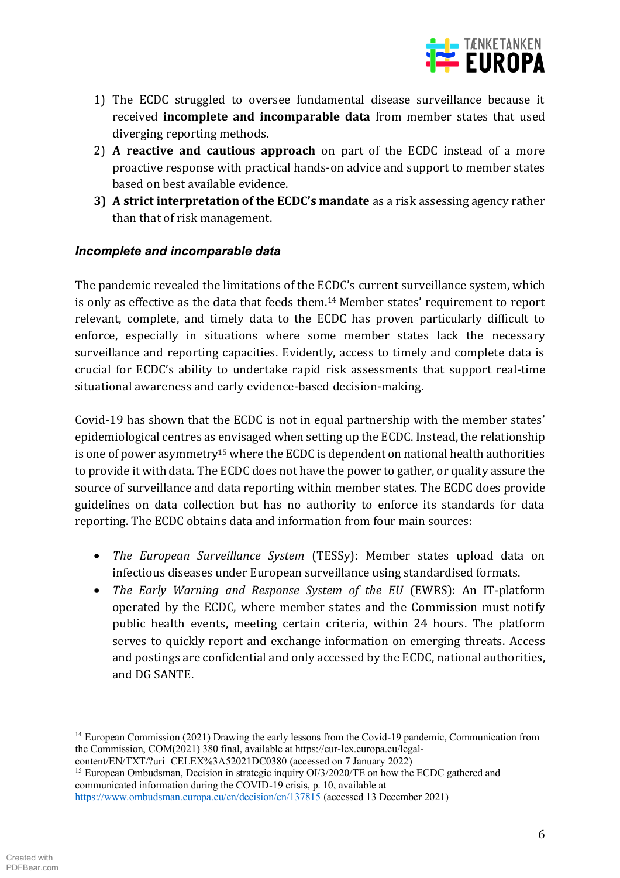

- 1) The ECDC struggled to oversee fundamental disease surveillance because it received incomplete and incomparable data from member states that used diverging reporting methods.
- 2) A reactive and cautious approach on part of the ECDC instead of a more proactive response with practical hands-on advice and support to member states based on best available evidence.
- 3) A strict interpretation of the ECDC's mandate as a risk assessing agency rather than that of risk management.

## Incomplete and incomparable data

The pandemic revealed the limitations of the ECDC's current surveillance system, which is only as effective as the data that feeds them.<sup>14</sup> Member states' requirement to report relevant, complete, and timely data to the ECDC has proven particularly difficult to enforce, especially in situations where some member states lack the necessary surveillance and reporting capacities. Evidently, access to timely and complete data is crucial for ECDC's ability to undertake rapid risk assessments that support real-time situational awareness and early evidence-based decision-making.

Covid-19 has shown that the ECDC is not in equal partnership with the member states' epidemiological centres as envisaged when setting up the ECDC. Instead, the relationship is one of power asymmetry<sup>15</sup> where the ECDC is dependent on national health authorities to provide it with data. The ECDC does not have the power to gather, or quality assure the source of surveillance and data reporting within member states. The ECDC does provide guidelines on data collection but has no authority to enforce its standards for data reporting. The ECDC obtains data and information from four main sources:

- The European Surveillance System (TESSy): Member states upload data on infectious diseases under European surveillance using standardised formats.
- The Early Warning and Response System of the EU (EWRS): An IT-platform operated by the ECDC, where member states and the Commission must notify public health events, meeting certain criteria, within 24 hours. The platform serves to quickly report and exchange information on emerging threats. Access and postings are confidential and only accessed by the ECDC, national authorities, and DG SANTE.

<sup>&</sup>lt;sup>14</sup> European Commission (2021) Drawing the early lessons from the Covid-19 pandemic, Communication from the Commission, COM(2021) 380 final, available at https://eur-lex.europa.eu/legalcontent/EN/TXT/?uri=CELEX%3A52021DC0380 (accessed on 7 January 2022)

<sup>&</sup>lt;sup>15</sup> European Ombudsman, Decision in strategic inquiry OI/3/2020/TE on how the ECDC gathered and communicated information during the COVID-19 crisis, p. 10, available at https://www.ombudsman.europa.eu/en/decision/en/137815 (accessed 13 December 2021)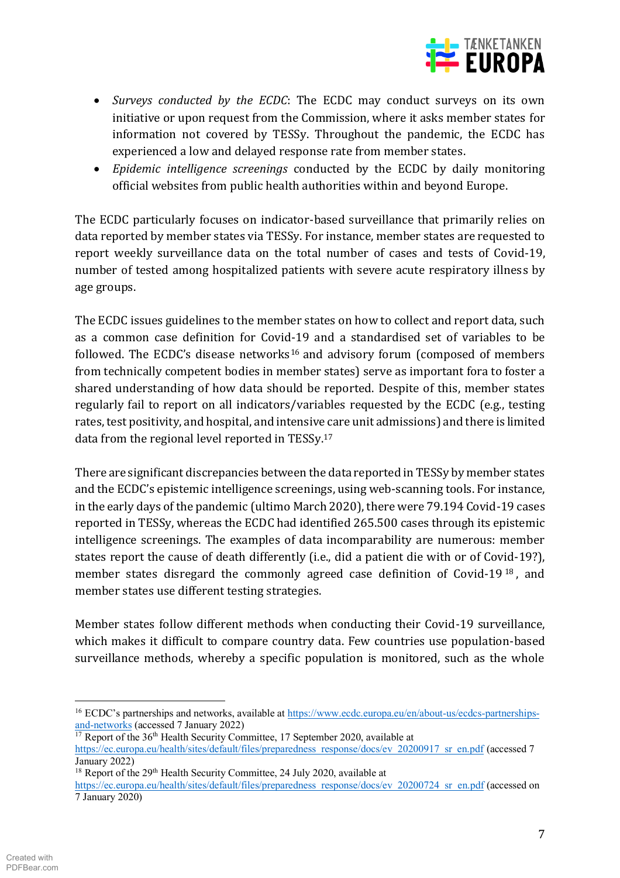

- *Surveys conducted by the ECDC*: The ECDC may conduct surveys on its own initiative or upon request from the Commission, where it asks member states for information not covered by TESSy. Throughout the pandemic, the ECDC has experienced a low and delayed response rate from member states.
- x *Epidemic intelligence screenings* conducted by the ECDC by daily monitoring official websites from public health authorities within and beyond Europe.

The ECDC particularly focuses on indicator-based surveillance that primarily relies on data reported by member states via TESSy. For instance, member states are requested to report weekly surveillance data on the total number of cases and tests of Covid-19, number of tested among hospitalized patients with severe acute respiratory illness by age groups.

The ECDC issues guidelines to the member states on how to collect and report data, such as a common case definition for Covid-19 and a standardised set of variables to be followed. The ECDC's disease networks<sup>16</sup> and advisory forum (composed of members from technically competent bodies in member states) serve as important fora to foster a shared understanding of how data should be reported. Despite of this, member states regularly fail to report on all indicators/variables requested by the ECDC (e.g., testing rates, test positivity, and hospital, and intensive care unit admissions) and there is limited data from the regional level reported in TESSy.<sup>17</sup>

There are significant discrepancies between the data reported in TESSy by member states and the ECDC's epistemic intelligence screenings, using web-scanning tools. For instance, in the early days of the pandemic (ultimo March 2020), there were 79.194 Covid-19 cases reported in TESSy, whereas the ECDC had identified 265.500 cases through its epistemic intelligence screenings. The examples of data incomparability are numerous: member states report the cause of death differently (i.e., did a patient die with or of Covid-19?), member states disregard the commonly agreed case definition of Covid-19 <sup>18</sup> , and member states use different testing strategies.

Member states follow different methods when conducting their Covid-19 surveillance, which makes it difficult to compare country data. Few countries use population-based surveillance methods, whereby a specific population is monitored, such as the whole

 $16$  ECDC's partnerships and networks, available at https://www.ecdc.europa.eu/en/about-us/ecdcs-partnershipsand-networks (accessed 7 January 2022)

 $17$  Report of the 36<sup>th</sup> Health Security Committee, 17 September 2020, available at https://ec.europa.eu/health/sites/default/files/preparedness\_response/docs/ev\_20200917\_sr\_en.pdf (accessed 7 January 2022)

 $18$  Report of the 29<sup>th</sup> Health Security Committee, 24 July 2020, available at

https://ec.europa.eu/health/sites/default/files/preparedness\_response/docs/ev\_20200724\_sr\_en.pdf (accessed on 7 January 2020)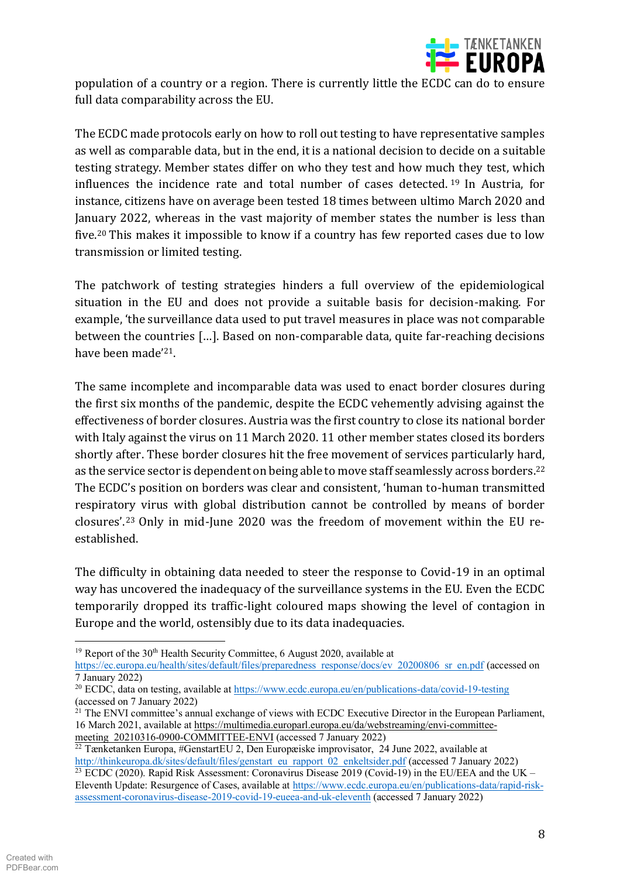

population of a country or a region. There is currently little the ECDC can do to ensure full data comparability across the EU.

The ECDC made protocols early on how to roll out testing to have representative samples as well as comparable data, but in the end, it is a national decision to decide on a suitable testing strategy. Member states differ on who they test and how much they test, which influences the incidence rate and total number of cases detected. <sup>19</sup> In Austria, for instance, citizens have on average been tested 18 times between ultimo March 2020 and January 2022, whereas in the vast majority of member states the number is less than five.20 This makes it impossible to know if a country has few reported cases due to low transmission or limited testing.

The patchwork of testing strategies hinders a full overview of the epidemiological situation in the EU and does not provide a suitable basis for decision-making. For example, 'the surveillance data used to put travel measures in place was not comparable between the countries [...]. Based on non-comparable data, quite far-reaching decisions have been made'<sup>21</sup>.

The same incomplete and incomparable data was used to enact border closures during the first six months of the pandemic, despite the ECDC vehemently advising against the effectiveness of border closures. Austria was the first country to close its national border with Italy against the virus on 11 March 2020. 11 other member states closed its borders shortly after. These border closures hit the free movement of services particularly hard, as the service sector is dependent on being able to move staff seamlessly across borders.22 The ECDC's position on borders was clear and consistent. 'human to-human transmitted respiratory virus with global distribution cannot be controlled by means of border closures'.<sup>23</sup> Only in mid-June 2020 was the freedom of movement within the EU reestablished.

The difficulty in obtaining data needed to steer the response to Covid-19 in an optimal way has uncovered the inadequacy of the surveillance systems in the EU. Even the ECDC temporarily dropped its traffic-light coloured maps showing the level of contagion in Europe and the world, ostensibly due to its data inadequacies.

<sup>&</sup>lt;sup>19</sup> Report of the 30<sup>th</sup> Health Security Committee, 6 August 2020, available at https://ec.europa.eu/health/sites/default/files/preparedness\_response/docs/ev\_20200806\_sr\_en.pdf (accessed on 7 January 2022)

<sup>&</sup>lt;sup>20</sup> ECDC, data on testing, available at https://www.ecdc.europa.eu/en/publications-data/covid-19-testing (accessed on 7 January 2022)

 $21$  The ENVI committee's annual exchange of views with ECDC Executive Director in the European Parliament, 16 March 2021, available at https://multimedia.europarl.europa.eu/da/webstreaming/envi-committeemeeting 20210316-0900-COMMITTEE-ENVI (accessed 7 January 2022)

<sup>&</sup>lt;sup>22</sup> Tænketanken Europa, #GenstartEU 2, Den Europæiske improvisator, 24 June 2022, available at http://thinkeuropa.dk/sites/default/files/genstart\_eu\_rapport\_02\_enkeltsider.pdf (accessed 7 January 2022) <sup>23</sup> ECDC (2020). Rapid Risk Assessment: Coronavirus Disease 2019 (Covid-19) in the EU/EEA and the UK  $-$ Eleventh Update: Resurgence of Cases, available at https://www.ecdc.europa.eu/en/publications-data/rapid-riskassessment-coronavirus-disease-2019-covid-19-eueea-and-uk-eleventh (accessed 7 January 2022)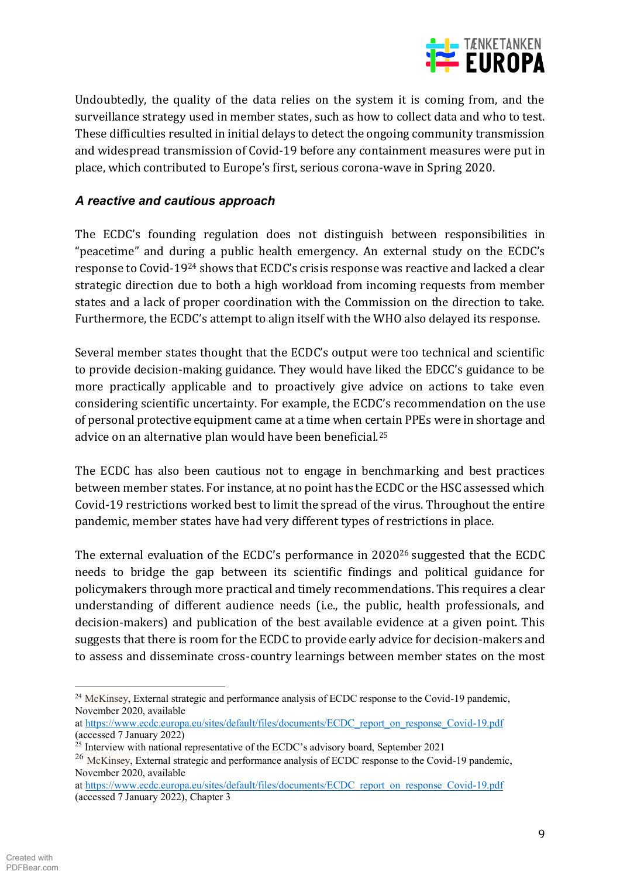

Undoubtedly, the quality of the data relies on the system it is coming from, and the surveillance strategy used in member states, such as how to collect data and who to test. These difficulties resulted in initial delays to detect the ongoing community transmission and widespread transmission of Covid-19 before any containment measures were put in place, which contributed to Europe's first, serious corona-wave in Spring 2020.

## A reactive and cautious approach

The ECDC's founding regulation does not distinguish between responsibilities in "peacetime" and during a public health emergency. An external study on the ECDC's response to Covid-19<sup>24</sup> shows that ECDC's crisis response was reactive and lacked a clear strategic direction due to both a high workload from incoming requests from member states and a lack of proper coordination with the Commission on the direction to take. Furthermore, the ECDC's attempt to align itself with the WHO also delayed its response.

Several member states thought that the ECDC's output were too technical and scientific to provide decision-making guidance. They would have liked the EDCC's guidance to be more practically applicable and to proactively give advice on actions to take even considering scientific uncertainty. For example, the ECDC's recommendation on the use of personal protective equipment came at a time when certain PPEs were in shortage and advice on an alternative plan would have been beneficial.<sup>25</sup>

The ECDC has also been cautious not to engage in benchmarking and best practices between member states. For instance, at no point has the ECDC or the HSC assessed which Covid-19 restrictions worked best to limit the spread of the virus. Throughout the entire pandemic, member states have had very different types of restrictions in place.

The external evaluation of the ECDC's performance in 2020<sup>26</sup> suggested that the ECDC needs to bridge the gap between its scientific findings and political guidance for policymakers through more practical and timely recommendations. This requires a clear understanding of different audience needs (i.e., the public, health professionals, and decision-makers) and publication of the best available evidence at a given point. This suggests that there is room for the ECDC to provide early advice for decision-makers and to assess and disseminate cross-country learnings between member states on the most

<sup>&</sup>lt;sup>24</sup> McKinsey, External strategic and performance analysis of ECDC response to the Covid-19 pandemic, November 2020, available

at https://www.ecdc.europa.eu/sites/default/files/documents/ECDC report on response Covid-19.pdf (accessed 7 January 2022)

<sup>&</sup>lt;sup>25</sup> Interview with national representative of the ECDC's advisory board, September 2021

<sup>&</sup>lt;sup>26</sup> McKinsey, External strategic and performance analysis of ECDC response to the Covid-19 pandemic, November 2020, available

at https://www.ecdc.europa.eu/sites/default/files/documents/ECDC report on response Covid-19.pdf (accessed 7 January 2022), Chapter 3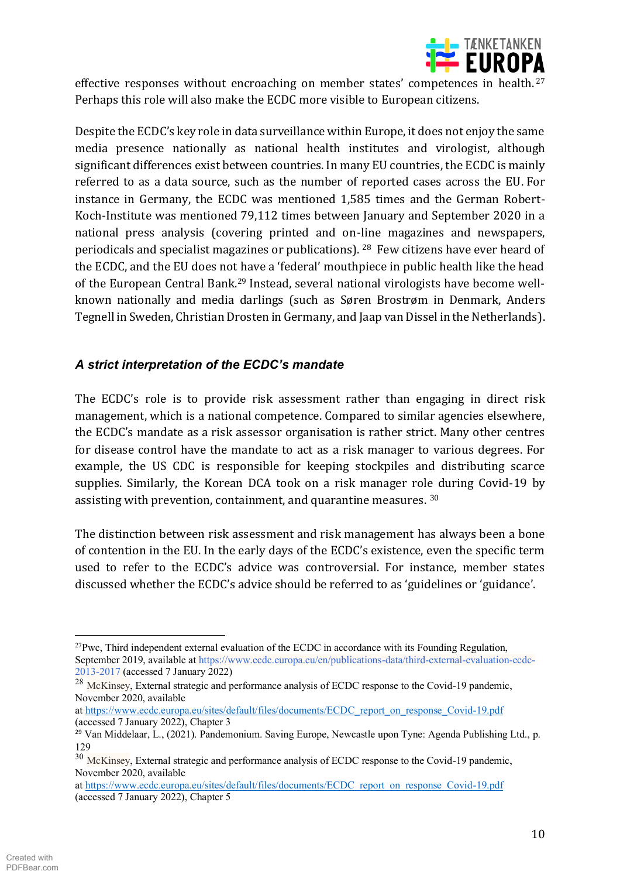

effective responses without encroaching on member states' competences in health.<sup>27</sup> Perhaps this role will also make the ECDC more visible to European citizens.

Despite the ECDC's key role in data surveillance within Europe, it does not enjoy the same media presence nationally as national health institutes and virologist, although significant differences exist between countries. In many EU countries, the ECDC is mainly referred to as a data source, such as the number of reported cases across the EU. For instance in Germany, the ECDC was mentioned 1,585 times and the German Robert-Koch-Institute was mentioned 79,112 times between January and September 2020 in a national press analysis (covering printed and on-line magazines and newspapers, periodicals and specialist magazines or publications). <sup>28</sup> Few citizens have ever heard of the ECDC, and the EU does not have a 'federal' mouthpiece in public health like the head of the European Central Bank.<sup>29</sup> Instead, several national virologists have become wellknown nationally and media darlings (such as Søren Brostrøm in Denmark, Anders Tegnell in Sweden, Christian Drosten in Germany, and Jaap van Dissel in the Netherlands).

## A strict interpretation of the ECDC's mandate

The ECDC's role is to provide risk assessment rather than engaging in direct risk management, which is a national competence. Compared to similar agencies elsewhere, the ECDC's mandate as a risk assessor organisation is rather strict. Many other centres for disease control have the mandate to act as a risk manager to various degrees. For example, the US CDC is responsible for keeping stockpiles and distributing scarce supplies. Similarly, the Korean DCA took on a risk manager role during Covid-19 by assisting with prevention, containment, and quarantine measures. 30

The distinction between risk assessment and risk management has always been a bone of contention in the EU. In the early days of the ECDC's existence, even the specific term used to refer to the ECDC's advice was controversial. For instance, member states discussed whether the ECDC's advice should be referred to as 'guidelines or 'guidance'.

 $^{27}$ Pwc, Third independent external evaluation of the ECDC in accordance with its Founding Regulation, September 2019, available at https://www.ecdc.europa.eu/en/publications-data/third-external-evaluation-ecdc-2013-2017 (accessed 7 January 2022)

<sup>&</sup>lt;sup>28</sup> McKinsey, External strategic and performance analysis of ECDC response to the Covid-19 pandemic, November 2020, available

at https://www.ecdc.europa.eu/sites/default/files/documents/ECDC report on response Covid-19.pdf (accessed 7 January 2022), Chapter 3

<sup>&</sup>lt;sup>29</sup> Van Middelaar, L., (2021). Pandemonium. Saving Europe, Newcastle upon Tyne: Agenda Publishing Ltd., p. 129

<sup>&</sup>lt;sup>30</sup> McKinsey, External strategic and performance analysis of ECDC response to the Covid-19 pandemic, November 2020, available

at https://www.ecdc.europa.eu/sites/default/files/documents/ECDC report on response Covid-19.pdf (accessed 7 January 2022), Chapter 5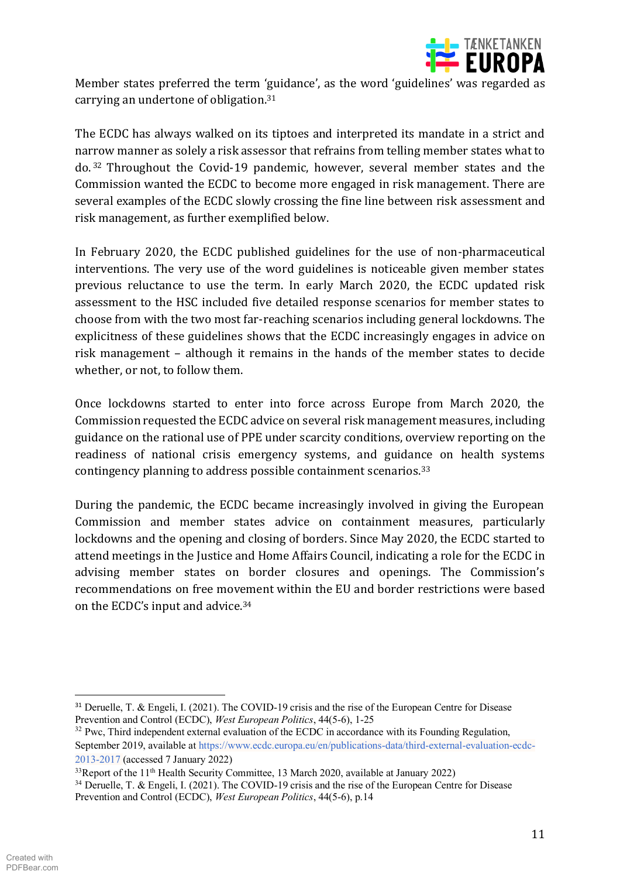

Member states preferred the term 'guidance', as the word 'guidelines' was regarded as carrying an undertone of obligation.<sup>31</sup>

The ECDC has always walked on its tiptoes and interpreted its mandate in a strict and narrow manner as solely a risk assessor that refrains from telling member states what to do.<sup>32</sup> Throughout the Covid-19 pandemic, however, several member states and the Commission wanted the ECDC to become more engaged in risk management. There are several examples of the ECDC slowly crossing the fine line between risk assessment and risk management, as further exemplified below.

In February 2020, the ECDC published guidelines for the use of non-pharmaceutical interventions. The very use of the word guidelines is noticeable given member states previous reluctance to use the term. In early March 2020, the ECDC updated risk assessment to the HSC included five detailed response scenarios for member states to choose from with the two most far-reaching scenarios including general lockdowns. The explicitness of these guidelines shows that the ECDC increasingly engages in advice on risk management – although it remains in the hands of the member states to decide whether, or not, to follow them.

Once lockdowns started to enter into force across Europe from March 2020, the Commission requested the ECDC advice on several risk management measures, including guidance on the rational use of PPE under scarcity conditions, overview reporting on the readiness of national crisis emergency systems, and guidance on health systems contingency planning to address possible containment scenarios.<sup>33</sup>

During the pandemic, the ECDC became increasingly involved in giving the European Commission and member states advice on containment measures, particularly lockdowns and the opening and closing of borders. Since May 2020, the ECDC started to attend meetings in the Justice and Home Affairs Council, indicating a role for the ECDC in advising member states on border closures and openings. The Commission's recommendations on free movement within the EU and border restrictions were based on the ECDC's input and advice.<sup>34</sup>

<sup>&</sup>lt;sup>31</sup> Deruelle, T. & Engeli, I. (2021). The COVID-19 crisis and the rise of the European Centre for Disease Prevention and Control (ECDC), West European Politics, 44(5-6), 1-25

<sup>&</sup>lt;sup>32</sup> Pwc, Third independent external evaluation of the ECDC in accordance with its Founding Regulation, September 2019, available at https://www.ecdc.europa.eu/en/publications-data/third-external-evaluation-ecdc-2013-2017 (accessed 7 January 2022)

<sup>&</sup>lt;sup>33</sup>Renort of the 11<sup>th</sup> Health Security Committee, 13 March 2020, available at January 2022)

<sup>&</sup>lt;sup>34</sup> Deruelle. T. & Engeli, I. (2021). The COVID-19 crisis and the rise of the European Centre for Disease Prevention and Control (ECDC), West European Politics, 44(5-6), p.14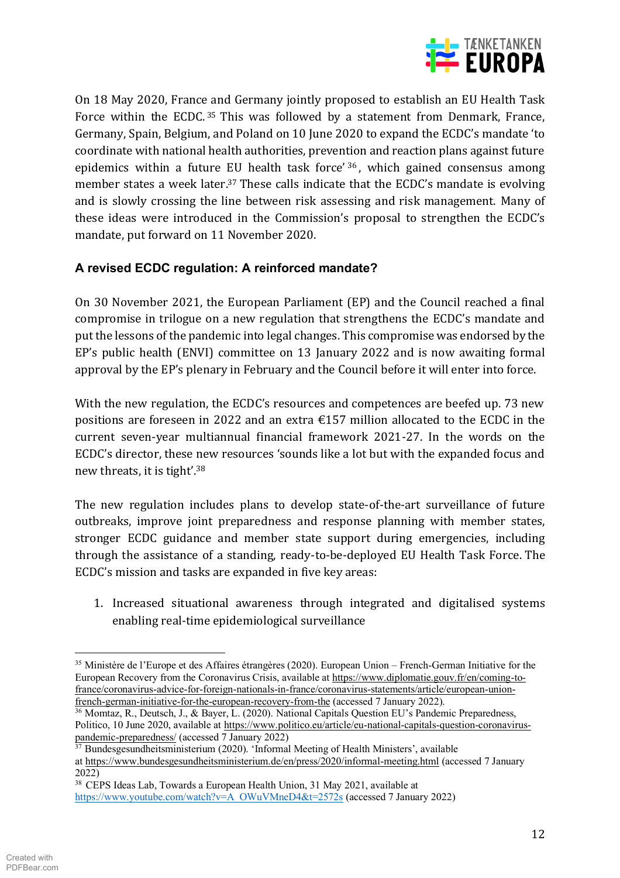

On 18 May 2020, France and Germany jointly proposed to establish an EU Health Task Force within the ECDC.<sup>35</sup> This was followed by a statement from Denmark, France, Germany, Spain, Belgium, and Poland on 10 June 2020 to expand the ECDC's mandate 'to coordinate with national health authorities, prevention and reaction plans against future epidemics within a future EU health task force' 36, which gained consensus among member states a week later.<sup>37</sup> These calls indicate that the ECDC's mandate is evolving and is slowly crossing the line between risk assessing and risk management. Many of these ideas were introduced in the Commission's proposal to strengthen the ECDC's mandate, put forward on 11 November 2020.

## **A revised ECDC regulation: A reinforced mandate?**

On 30 November 2021, the European Parliament (EP) and the Council reached a final compromise in trilogue on a new regulation that strengthens the ECDC's mandate and put the lessons of the pandemic into legal changes. This compromise was endorsed by the EP's public health (ENVI) committee on 13 January 2022 and is now awaiting formal approval by the EP's plenary in February and the Council before it will enter into force.

With the new regulation, the ECDC's resources and competences are beefed up. 73 new positions are foreseen in 2022 and an extra  $\epsilon$ 157 million allocated to the ECDC in the current seven-year multiannual financial framework 2021-27. In the words on the ECDC's director, these new resources 'sounds like a lot but with the expanded focus and new threats, it is tight'.<sup>38</sup>

The new regulation includes plans to develop state-of-the-art surveillance of future outbreaks, improve joint preparedness and response planning with member states, stronger ECDC guidance and member state support during emergencies, including through the assistance of a standing, ready-to-be-deployed EU Health Task Force. The ECDC's mission and tasks are expanded in five key areas:

1. Increased situational awareness through integrated and digitalised systems enabling real-time epidemiological surveillance

 $35$  Ministère de l'Europe et des Affaires étrangères (2020). European Union – French-German Initiative for the European Recovery from the Coronavirus Crisis, available at https://www.diplomatie.gouv.fr/en/coming-tofrance/coronavirus-advice-for-foreign-nationals-in-france/coronavirus-statements/article/european-unionfrench-german-initiative-for-the-european-recovery-from-the (accessed 7 January 2022).

<sup>&</sup>lt;sup>36</sup> Momtaz, R., Deutsch, J., & Bayer, L. (2020). National Capitals Question EU's Pandemic Preparedness, Politico, 10 June 2020, available at https://www.politico.eu/article/eu-national-capitals-question-coronaviruspandemic-preparedness/ (accessed 7 January 2022)

 $37$  Bundesgesundheitsministerium (2020). 'Informal Meeting of Health Ministers', available at https://www.bundesgesundheitsministerium.de/en/press/2020/informal-meeting.html (accessed 7 January 2022)

<sup>38</sup> CEPS Ideas Lab, Towards a European Health Union, 31 May 2021, available at https://www.youtube.com/watch?v=A\_OWuVMneD4&t=2572s (accessed 7 January 2022)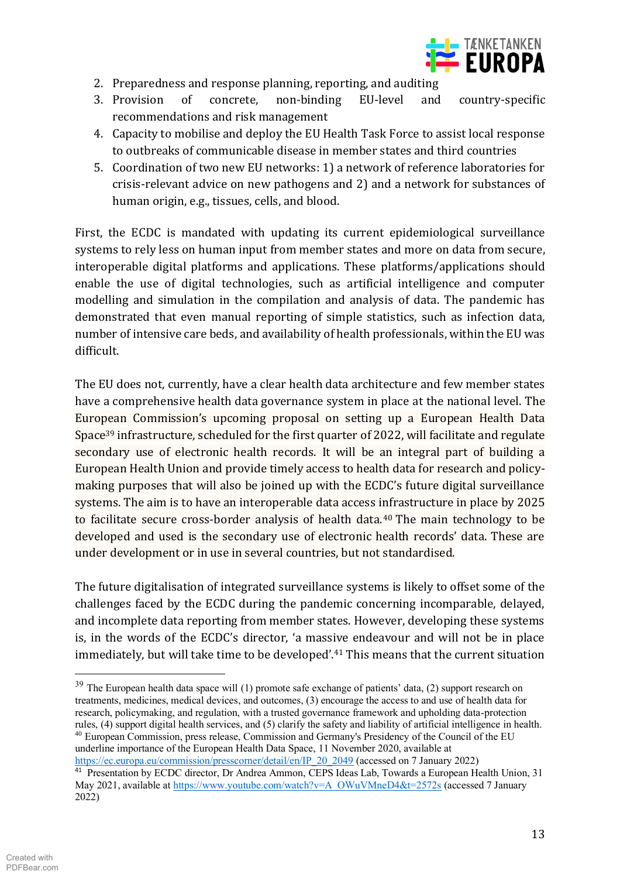

- 2. Preparedness and response planning, reporting, and auditing
- 3. Provision  $\sigma$ f EU-level concrete. non-binding and country-specific recommendations and risk management
- 4. Capacity to mobilise and deploy the EU Health Task Force to assist local response to outbreaks of communicable disease in member states and third countries
- 5. Coordination of two new EU networks: 1) a network of reference laboratories for crisis-relevant advice on new pathogens and 2) and a network for substances of human origin, e.g., tissues, cells, and blood.

First, the ECDC is mandated with updating its current epidemiological surveillance systems to rely less on human input from member states and more on data from secure. interoperable digital platforms and applications. These platforms/applications should enable the use of digital technologies, such as artificial intelligence and computer modelling and simulation in the compilation and analysis of data. The pandemic has demonstrated that even manual reporting of simple statistics, such as infection data, number of intensive care beds, and availability of health professionals, within the EU was difficult.

The EU does not, currently, have a clear health data architecture and few member states have a comprehensive health data governance system in place at the national level. The European Commission's upcoming proposal on setting up a European Health Data Space<sup>39</sup> infrastructure, scheduled for the first quarter of 2022, will facilitate and regulate secondary use of electronic health records. It will be an integral part of building a European Health Union and provide timely access to health data for research and policymaking purposes that will also be joined up with the ECDC's future digital surveillance systems. The aim is to have an interoperable data access infrastructure in place by 2025 to facilitate secure cross-border analysis of health data.<sup>40</sup> The main technology to be developed and used is the secondary use of electronic health records' data. These are under development or in use in several countries, but not standardised.

The future digitalisation of integrated surveillance systems is likely to offset some of the challenges faced by the ECDC during the pandemic concerning incomparable, delayed, and incomplete data reporting from member states. However, developing these systems is, in the words of the ECDC's director, 'a massive endeavour and will not be in place immediately, but will take time to be developed'.<sup>41</sup> This means that the current situation

https://ec.europa.eu/commission/presscorner/detail/en/IP 20 2049 (accessed on 7 January 2022)

<sup>&</sup>lt;sup>39</sup> The European health data space will (1) promote safe exchange of patients' data, (2) support research on treatments, medicines, medical devices, and outcomes, (3) encourage the access to and use of health data for research, policymaking, and regulation, with a trusted governance framework and upholding data-protection rules, (4) support digital health services, and (5) clarify the safety and liability of artificial intelligence in health. <sup>40</sup> European Commission, press release, Commission and Germany's Presidency of the Council of the EU underline importance of the European Health Data Space, 11 November 2020, available at

<sup>&</sup>lt;sup>41</sup> Presentation by ECDC director, Dr Andrea Ammon, CEPS Ideas Lab, Towards a European Health Union, 31 May 2021, available at https://www.youtube.com/watch?v=A\_OWuVMneD4&t=2572s (accessed 7 January  $2022$ )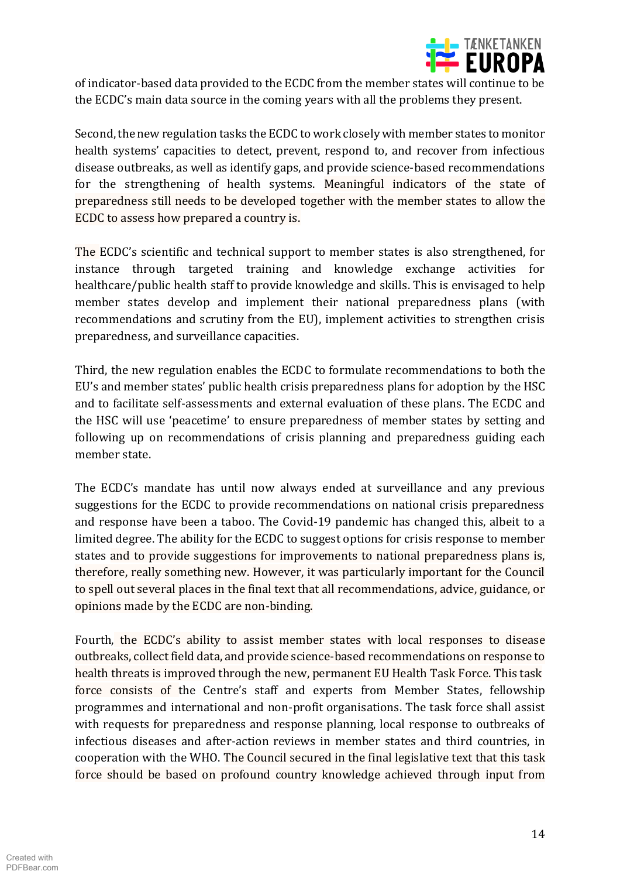

of indicator-based data provided to the ECDC from the member states will continue to be the ECDC's main data source in the coming years with all the problems they present.

Second, the new regulation tasks the ECDC to work closely with member states to monitor health systems' capacities to detect, prevent, respond to, and recover from infectious disease outbreaks, as well as identify gaps, and provide science-based recommendations for the strengthening of health systems. Meaningful indicators of the state of preparedness still needs to be developed together with the member states to allow the ECDC to assess how prepared a country is.

The ECDC's scientific and technical support to member states is also strengthened, for instance through targeted training and knowledge exchange activities for healthcare/public health staff to provide knowledge and skills. This is envisaged to help member states develop and implement their national preparedness plans (with recommendations and scrutiny from the EU), implement activities to strengthen crisis preparedness, and surveillance capacities.

Third, the new regulation enables the ECDC to formulate recommendations to both the EU's and member states' public health crisis preparedness plans for adoption by the HSC and to facilitate self-assessments and external evaluation of these plans. The ECDC and the HSC will use 'peacetime' to ensure preparedness of member states by setting and following up on recommendations of crisis planning and preparedness guiding each member state

The ECDC's mandate has until now always ended at surveillance and any previous suggestions for the ECDC to provide recommendations on national crisis preparedness and response have been a taboo. The Covid-19 pandemic has changed this, albeit to a limited degree. The ability for the ECDC to suggest options for crisis response to member states and to provide suggestions for improvements to national preparedness plans is, therefore, really something new. However, it was particularly important for the Council to spell out several places in the final text that all recommendations, advice, guidance, or opinions made by the ECDC are non-binding.

Fourth, the ECDC's ability to assist member states with local responses to disease outbreaks, collect field data, and provide science-based recommendations on response to health threats is improved through the new, permanent EU Health Task Force. This task force consists of the Centre's staff and experts from Member States, fellowship programmes and international and non-profit organisations. The task force shall assist with requests for preparedness and response planning, local response to outbreaks of infectious diseases and after-action reviews in member states and third countries, in cooperation with the WHO. The Council secured in the final legislative text that this task force should be based on profound country knowledge achieved through input from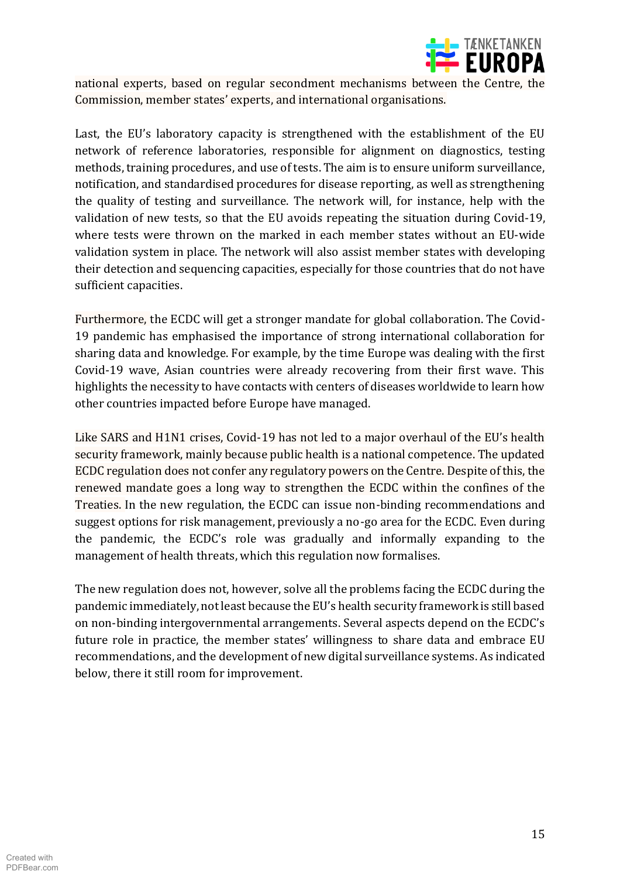

national experts, based on regular secondment mechanisms between the Centre, the Commission, member states' experts, and international organisations.

Last, the EU's laboratory capacity is strengthened with the establishment of the EU network of reference laboratories, responsible for alignment on diagnostics, testing methods, training procedures, and use of tests. The aim is to ensure uniform surveillance, notification, and standardised procedures for disease reporting, as well as strengthening the quality of testing and surveillance. The network will, for instance, help with the validation of new tests, so that the EU avoids repeating the situation during Covid-19, where tests were thrown on the marked in each member states without an EU-wide validation system in place. The network will also assist member states with developing their detection and sequencing capacities, especially for those countries that do not have sufficient capacities.

Furthermore, the ECDC will get a stronger mandate for global collaboration. The Covid-19 pandemic has emphasised the importance of strong international collaboration for sharing data and knowledge. For example, by the time Europe was dealing with the first Covid-19 wave, Asian countries were already recovering from their first wave. This highlights the necessity to have contacts with centers of diseases worldwide to learn how other countries impacted before Europe have managed.

Like SARS and H1N1 crises, Covid-19 has not led to a major overhaul of the EU's health security framework, mainly because public health is a national competence. The updated ECDC regulation does not confer any regulatory powers on the Centre. Despite of this, the renewed mandate goes a long way to strengthen the ECDC within the confines of the Treaties. In the new regulation, the ECDC can issue non-binding recommendations and suggest options for risk management, previously a no-go area for the ECDC. Even during the pandemic, the ECDC's role was gradually and informally expanding to the management of health threats, which this regulation now formalises.

The new regulation does not, however, solve all the problems facing the ECDC during the pandemic immediately, not least because the EU's health security framework is still based on non-binding intergovernmental arrangements. Several aspects depend on the ECDC's future role in practice, the member states' willingness to share data and embrace EU recommendations, and the development of new digital surveillance systems. As indicated below, there it still room for improvement.